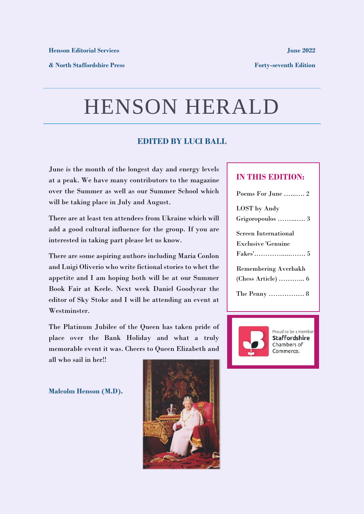**& North Staffordshire Press**

**Forty-seventh Edition**

## HENSON HERALD

### **EDITED BY LUCI BALL**

June is the month of the longest day and energy levels at a peak. We have many contributors to the magazine over the Summer as well as our Summer School which will be taking place in July and August.

There are at least ten attendees from Ukraine which will add a good cultural influence for the group. If you are interested in taking part please let us know.

There are some aspiring authors including Maria Conlon and Luigi Oliverio who write fictional stories to whet the appetite and I am hoping both will be at our Summer Book Fair at Keele. Next week Daniel Goodyear the editor of Sky Stoke and I will be attending an event at Westminster.

The Platinum Jubilee of the Queen has taken pride of place over the Bank Holiday and what a truly memorable event it was. Cheers to Queen Elizabeth and all who sail in her!!

**Malcolm Henson (M.D).**



### **IN THIS EDITION:**

| Poems For June  2                           |
|---------------------------------------------|
| LOST by Andy                                |
| Grigoropoulos  3                            |
| <b>Screen International</b>                 |
| <b>Exclusive 'Genuine</b>                   |
|                                             |
| <b>Remembering Averbakh</b>                 |
| $(Chess Article) \dots \dots \dots \dots 6$ |
| The Penny  8                                |



Proud to be a member **Staffordshire** Chambers of Commerce.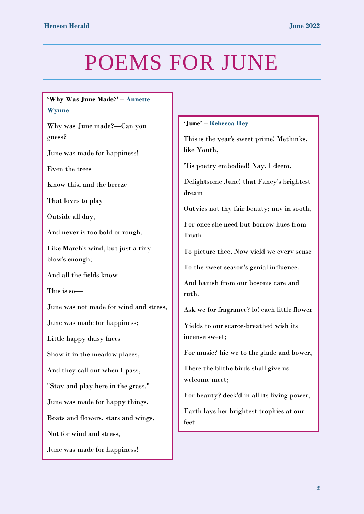# POEMS FOR JUNE

### **'Why Was June Made?' – Annette Wynne**

Why was June made?—Can you guess?

June was made for happiness!

Even the trees

Know this, and the breeze

That loves to play

Outside all day,

And never is too bold or rough,

Like March's wind, but just a tiny blow's enough;

And all the fields know

This is so—

June was not made for wind and stress,

June was made for happiness;

Little happy daisy faces

Show it in the meadow places,

And they call out when I pass,

"Stay and play here in the grass."

June was made for happy things,

Boats and flowers, stars and wings,

Not for wind and stress,

June was made for happiness!

### **'June' – Rebecca Hey**

This is the year's sweet prime! Methinks, like Youth,

'Tis poetry embodied! Nay, I deem,

Delightsome June! that Fancy's brightest dream

Outvies not thy fair beauty; nay in sooth,

For once she need but borrow hues from Truth

To picture thee. Now yield we every sense

To the sweet season's genial influence,

And banish from our bosoms care and ruth.

Ask we for fragrance? lo! each little flower

Yields to our scarce-breathed wish its incense sweet;

For music? hie we to the glade and bower,

There the blithe birds shall give us welcome meet;

For beauty? deck'd in all its living power,

Earth lays her brightest trophies at our feet.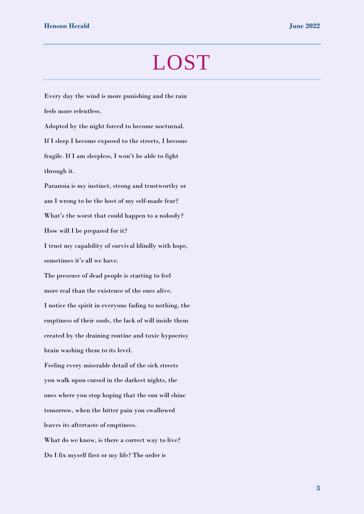### LOST

feels more relentless. Adopted by the night forced to become nocturnal. If I sleep I become exposed to the streets, I become fragile. If I am sleepless, I won't be able to fight through it. Paranoia is my instinct, strong and trustworthy or am I wrong to be the host of my self-made fear? What's the worst that could happen to a nobody? How will I be prepared for it? I trust my capability of survival blindly with hope, sometimes it's all we have. The presence of dead people is starting to feel more real than the existence of the ones alive. I notice the spirit in everyone fading to nothing, the emptiness of their souls, the lack of will inside them created by the draining routine and toxic hypocrisy brain washing them to its level. Feeling every miserable detail of the sick streets you walk upon cursed in the darkest nights, the ones where you stop hoping that the sun will shine tomorrow, when the bitter pain you swallowed leaves its aftertaste of emptiness. What do we know, is there a correct way to live? Do I fix myself first or my life? The order is

Every day the wind is more punishing and the rain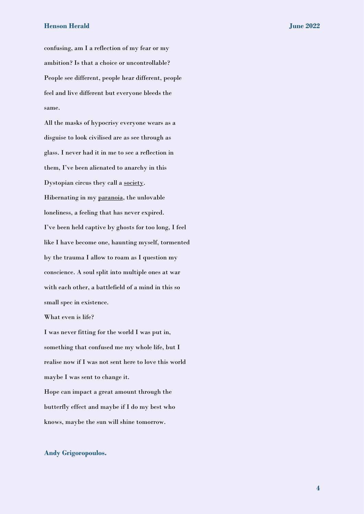#### **Henson Herald June 2022**

confusing, am I a reflection of my fear or my ambition? Is that a choice or uncontrollable? People see different, people hear different, people feel and live different but everyone bleeds the same.

All the masks of hypocrisy everyone wears as a disguise to look civilised are as see through as glass. I never had it in me to see a reflection in them, I've been alienated to anarchy in this Dystopian circus they call a society. Hibernating in my paranoia, the unlovable loneliness, a feeling that has never expired. I've been held captive by ghosts for too long, I feel like I have become one, haunting myself, tormented by the trauma I allow to roam as I question my conscience. A soul split into multiple ones at war with each other, a battlefield of a mind in this so small spec in existence.

What even is life?

I was never fitting for the world I was put in, something that confused me my whole life, but I realise now if I was not sent here to love this world maybe I was sent to change it. Hope can impact a great amount through the butterfly effect and maybe if I do my best who knows, maybe the sun will shine tomorrow.

#### **Andy Grigoropoulos.**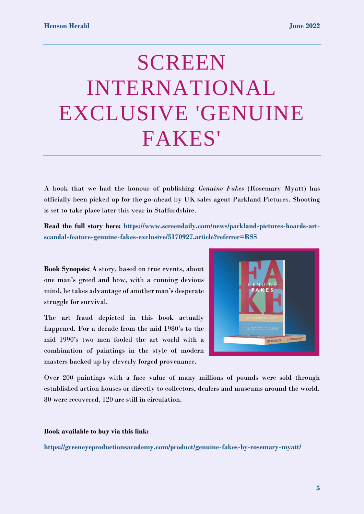# SCREEN INTERNATIONAL EXCLUSIVE 'GENUINE FAKES'

A book that we had the honour of publishing *Genuine Fakes* (Rosemary Myatt) has officially been picked up for the go-ahead by UK sales agent Parkland Pictures. Shooting is set to take place later this year in Staffordshire.

**Read the full story here: [https://www.screendaily.com/news/parkland-pictures-boards-art](https://www.screendaily.com/news/parkland-pictures-boards-art-scandal-feature-genuine-fakes-exclusive/5170927.article?referrer=RSS)[scandal-feature-genuine-fakes-exclusive/5170927.article?referrer=RSS](https://www.screendaily.com/news/parkland-pictures-boards-art-scandal-feature-genuine-fakes-exclusive/5170927.article?referrer=RSS)**

**Book Synopsis:** A story, based on true events, about one man's greed and how, with a cunning devious mind, he takes advantage of another man's desperate struggle for survival.

The art fraud depicted in this book actually happened. For a decade from the mid 1980's to the mid 1990's two men fooled the art world with a combination of paintings in the style of modern masters backed up by cleverly forged provenance.



Over 200 paintings with a face value of many millions of pounds were sold through established action houses or directly to collectors, dealers and museums around the world. 80 were recovered, 120 are still in circulation.

**Book available to buy via this link:** 

**<https://greeneyeproductionsacademy.com/product/genuine-fakes-by-rosemary-myatt/>**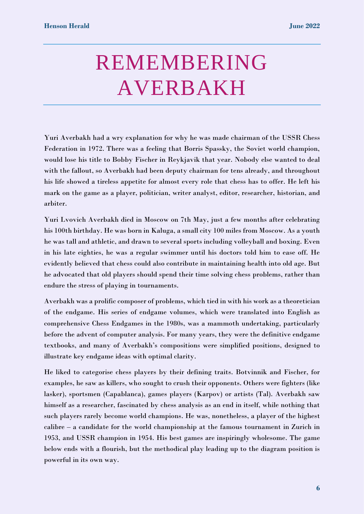# REMEMBERING AVERBAKH

Yuri Averbakh had a wry explanation for why he was made chairman of the USSR Chess Federation in 1972. There was a feeling that Borris Spassky, the Soviet world champion, would lose his title to Bobby Fischer in Reykjavik that year. Nobody else wanted to deal with the fallout, so Averbakh had been deputy chairman for tens already, and throughout his life showed a tireless appetite for almost every role that chess has to offer. He left his mark on the game as a player, politician, writer analyst, editor, researcher, historian, and arbiter.

Yuri Lvovich Averbakh died in Moscow on 7th May, just a few months after celebrating his 100th birthday. He was born in Kaluga, a small city 100 miles from Moscow. As a youth he was tall and athletic, and drawn to several sports including volleyball and boxing. Even in his late eighties, he was a regular swimmer until his doctors told him to ease off. He evidently believed that chess could also contribute in maintaining health into old age. But he advocated that old players should spend their time solving chess problems, rather than endure the stress of playing in tournaments.

Averbakh was a prolific composer of problems, which tied in with his work as a theoretician of the endgame. His series of endgame volumes, which were translated into English as comprehensive Chess Endgames in the 1980s, was a mammoth undertaking, particularly before the advent of computer analysis. For many years, they were the definitive endgame textbooks, and many of Averbakh's compositions were simplified positions, designed to illustrate key endgame ideas with optimal clarity.

He liked to categorise chess players by their defining traits. Botvinnik and Fischer, for examples, he saw as killers, who sought to crush their opponents. Others were fighters (like lasker), sportsmen (Capablanca), games players (Karpov) or artists (Tal). Averbakh saw himself as a researcher, fascinated by chess analysis as an end in itself, while nothing that such players rarely become world champions. He was, nonetheless, a player of the highest calibre – a candidate for the world championship at the famous tournament in Zurich in 1953, and USSR champion in 1954. His best games are inspiringly wholesome. The game below ends with a flourish, but the methodical play leading up to the diagram position is powerful in its own way.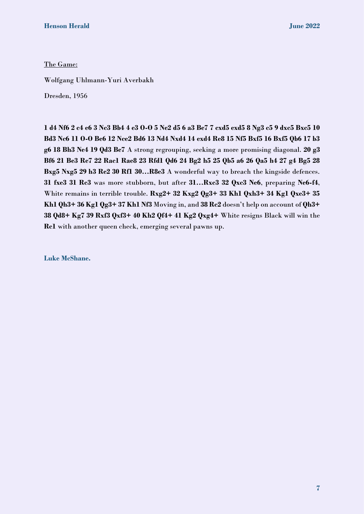The Game:

Wolfgang Uhlmann-Yuri Averbakh

Dresden, 1956

**1 d4 Nf6 2 c4 e6 3 Nc3 Bb4 4 e3 O-O 5 Ne2 d5 6 a3 Be7 7 cxd5 exd5 8 Ng3 c5 9 dxc5 Bxc5 10 Bd3 Nc6 11 O-O Be6 12 Nce2 Bd6 13 Nd4 Nxd4 14 exd4 Re8 15 Nf5 Bxf5 16 Bxf5 Qb6 17 b3 g6 18 Bh3 Ne4 19 Qd3 Be7** A strong regrouping, seeking a more promising diagonal. **20 g3 Bf6 21 Be3 Re7 22 Rac1 Rae8 23 Rfd1 Qd6 24 Bg2 h5 25 Qb5 a6 26 Qa5 h4 27 g4 Bg5 28 Bxg5 Nxg5 29 h3 Re2 30 Rf1 30…R8e3** A wonderful way to breach the kingside defences. **31 fxe3 31 Rc3** was more stubborn, but after **31…Rxc3 32 Qxc3 Ne6**, preparing **Ne6-f4**, White remains in terrible trouble. **Rxg2+ 32 Kxg2 Qg3+ 33 Kh1 Qxh3+ 34 Kg1 Qxe3+ 35 Kh1 Qh3+ 36 Kg1 Qg3+ 37 Kh1 Nf3** Moving in, and **38 Rc2** doesn't help on account of **Qh3+ 38 Qd8+ Kg7 39 Rxf3 Qxf3+ 40 Kh2 Qf4+ 41 Kg2 Qxg4+** White resigns Black will win the **Rc1** with another queen check, emerging several pawns up.

**Luke McShane.**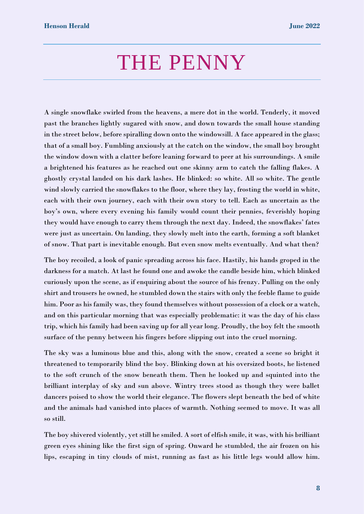### THE PENNY

A single snowflake swirled from the heavens, a mere dot in the world. Tenderly, it moved past the branches lightly sugared with snow, and down towards the small house standing in the street below, before spiralling down onto the windowsill. A face appeared in the glass; that of a small boy. Fumbling anxiously at the catch on the window, the small boy brought the window down with a clatter before leaning forward to peer at his surroundings. A smile a brightened his features as he reached out one skinny arm to catch the falling flakes. A ghostly crystal landed on his dark lashes. He blinked: so white. All so white. The gentle wind slowly carried the snowflakes to the floor, where they lay, frosting the world in white, each with their own journey, each with their own story to tell. Each as uncertain as the boy's own, where every evening his family would count their pennies, feverishly hoping they would have enough to carry them through the next day. Indeed, the snowflakes' fates were just as uncertain. On landing, they slowly melt into the earth, forming a soft blanket of snow. That part is inevitable enough. But even snow melts eventually. And what then?

The boy recoiled, a look of panic spreading across his face. Hastily, his hands groped in the darkness for a match. At last he found one and awoke the candle beside him, which blinked curiously upon the scene, as if enquiring about the source of his frenzy. Pulling on the only shirt and trousers he owned, he stumbled down the stairs with only the feeble flame to guide him. Poor as his family was, they found themselves without possession of a clock or a watch, and on this particular morning that was especially problematic: it was the day of his class trip, which his family had been saving up for all year long. Proudly, the boy felt the smooth surface of the penny between his fingers before slipping out into the cruel morning.

The sky was a luminous blue and this, along with the snow, created a scene so bright it threatened to temporarily blind the boy. Blinking down at his oversized boots, he listened to the soft crunch of the snow beneath them. Then he looked up and squinted into the brilliant interplay of sky and sun above. Wintry trees stood as though they were ballet dancers poised to show the world their elegance. The flowers slept beneath the bed of white and the animals had vanished into places of warmth. Nothing seemed to move. It was all so still.

The boy shivered violently, yet still he smiled. A sort of elfish smile, it was, with his brilliant green eyes shining like the first sign of spring. Onward he stumbled, the air frozen on his lips, escaping in tiny clouds of mist, running as fast as his little legs would allow him.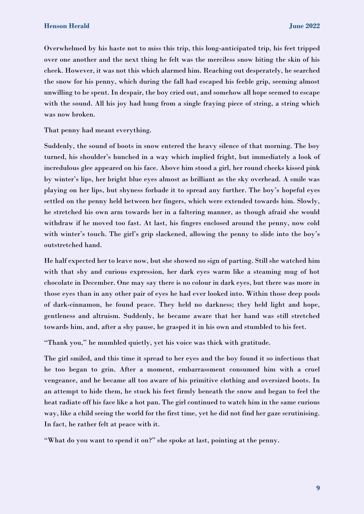Overwhelmed by his haste not to miss this trip, this long-anticipated trip, his feet tripped over one another and the next thing he felt was the merciless snow biting the skin of his cheek. However, it was not this which alarmed him. Reaching out desperately, he searched the snow for his penny, which during the fall had escaped his feeble grip, seeming almost unwilling to be spent. In despair, the boy cried out, and somehow all hope seemed to escape with the sound. All his joy had hung from a single fraying piece of string, a string which was now broken.

That penny had meant everything.

Suddenly, the sound of boots in snow entered the heavy silence of that morning. The boy turned, his shoulder's hunched in a way which implied fright, but immediately a look of incredulous glee appeared on his face. Above him stood a girl, her round cheeks kissed pink by winter's lips, her bright blue eyes almost as brilliant as the sky overhead. A smile was playing on her lips, but shyness forbade it to spread any further. The boy's hopeful eyes settled on the penny held between her fingers, which were extended towards him. Slowly, he stretched his own arm towards her in a faltering manner, as though afraid she would withdraw if he moved too fast. At last, his fingers enclosed around the penny, now cold with winter's touch. The girl's grip slackened, allowing the penny to slide into the boy's outstretched hand.

He half expected her to leave now, but she showed no sign of parting. Still she watched him with that shy and curious expression, her dark eyes warm like a steaming mug of hot chocolate in December. One may say there is no colour in dark eyes, but there was more in those eyes than in any other pair of eyes he had ever looked into. Within those deep pools of dark-cinnamon, he found peace. They held no darkness; they held light and hope, gentleness and altruism. Suddenly, he became aware that her hand was still stretched towards him, and, after a shy pause, he grasped it in his own and stumbled to his feet.

"Thank you," he mumbled quietly, yet his voice was thick with gratitude.

The girl smiled, and this time it spread to her eyes and the boy found it so infectious that he too began to grin. After a moment, embarrassment consumed him with a cruel vengeance, and he became all too aware of his primitive clothing and oversized boots. In an attempt to hide them, he stuck his feet firmly beneath the snow and began to feel the heat radiate off his face like a hot pan. The girl continued to watch him in the same curious way, like a child seeing the world for the first time, yet he did not find her gaze scrutinising. In fact, he rather felt at peace with it.

"What do you want to spend it on?" she spoke at last, pointing at the penny.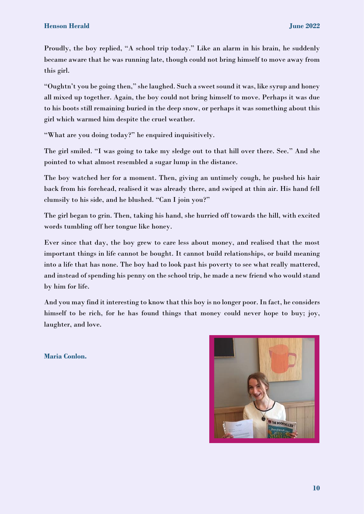Proudly, the boy replied, "A school trip today." Like an alarm in his brain, he suddenly became aware that he was running late, though could not bring himself to move away from this girl.

"Oughtn't you be going then," she laughed. Such a sweet sound it was, like syrup and honey all mixed up together. Again, the boy could not bring himself to move. Perhaps it was due to his boots still remaining buried in the deep snow, or perhaps it was something about this girl which warmed him despite the cruel weather.

"What are you doing today?" he enquired inquisitively.

The girl smiled. "I was going to take my sledge out to that hill over there. See." And she pointed to what almost resembled a sugar lump in the distance.

The boy watched her for a moment. Then, giving an untimely cough, he pushed his hair back from his forehead, realised it was already there, and swiped at thin air. His hand fell clumsily to his side, and he blushed. "Can I join you?"

The girl began to grin. Then, taking his hand, she hurried off towards the hill, with excited words tumbling off her tongue like honey.

Ever since that day, the boy grew to care less about money, and realised that the most important things in life cannot be bought. It cannot build relationships, or build meaning into a life that has none. The boy had to look past his poverty to see what really mattered, and instead of spending his penny on the school trip, he made a new friend who would stand by him for life.

And you may find it interesting to know that this boy is no longer poor. In fact, he considers himself to be rich, for he has found things that money could never hope to buy; joy, laughter, and love.

**Maria Conlon.**